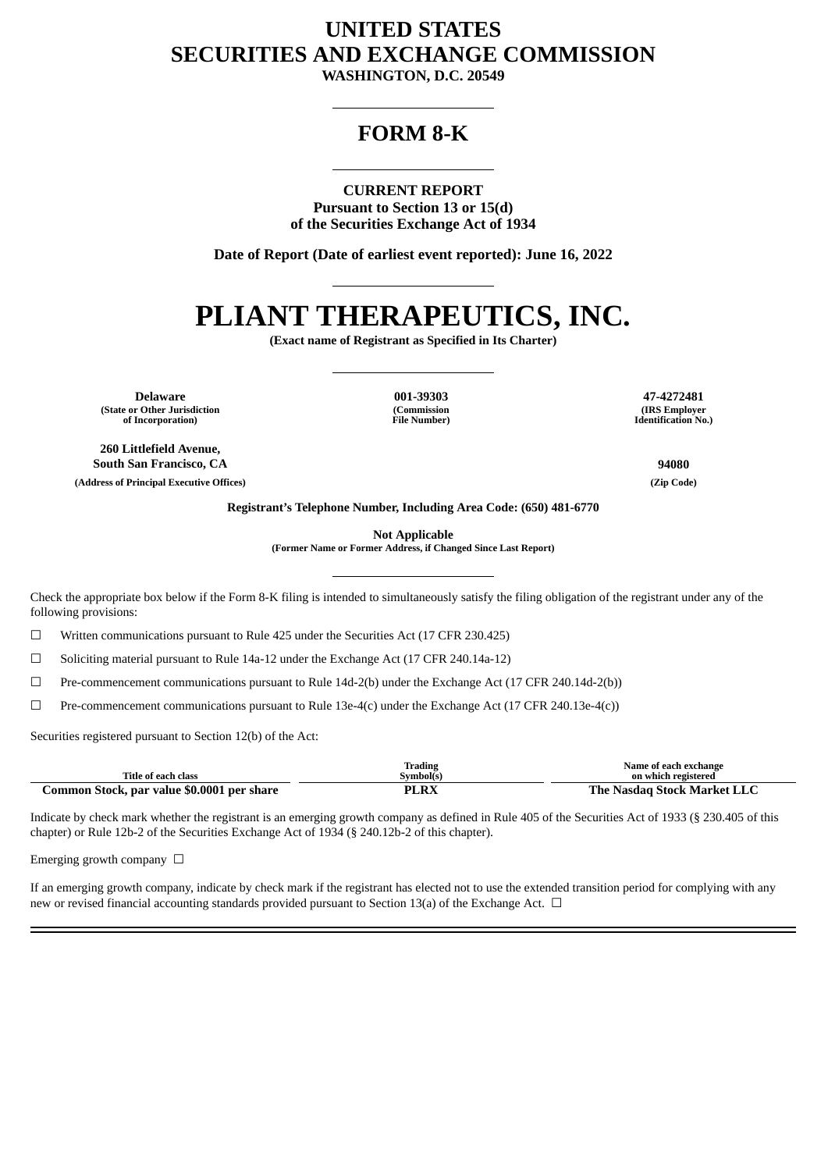## **UNITED STATES SECURITIES AND EXCHANGE COMMISSION**

**WASHINGTON, D.C. 20549**

### **FORM 8-K**

**CURRENT REPORT Pursuant to Section 13 or 15(d) of the Securities Exchange Act of 1934**

**Date of Report (Date of earliest event reported): June 16, 2022**

# **PLIANT THERAPEUTICS, INC.**

**(Exact name of Registrant as Specified in Its Charter)**

**Delaware 001-39303 47-4272481 (State or Other Jurisdiction of Incorporation)**

**(Commission File Number)**

**(IRS Employer Identification No.)**

**260 Littlefield Avenue, South San Francisco, CA 94080 (Address of Principal Executive Offices) (Zip Code)**

**Registrant's Telephone Number, Including Area Code: (650) 481-6770**

**Not Applicable**

**(Former Name or Former Address, if Changed Since Last Report)**

Check the appropriate box below if the Form 8-K filing is intended to simultaneously satisfy the filing obligation of the registrant under any of the following provisions:

☐ Written communications pursuant to Rule 425 under the Securities Act (17 CFR 230.425)

 $\Box$  Soliciting material pursuant to Rule 14a-12 under the Exchange Act (17 CFR 240.14a-12)

☐ Pre-commencement communications pursuant to Rule 14d-2(b) under the Exchange Act (17 CFR 240.14d-2(b))

 $\Box$  Pre-commencement communications pursuant to Rule 13e-4(c) under the Exchange Act (17 CFR 240.13e-4(c))

Securities registered pursuant to Section 12(b) of the Act:

|                                            | <b>Trading</b> | Name of each exchange       |
|--------------------------------------------|----------------|-----------------------------|
| <b>Title of each class</b>                 | Symbol(s)      | on which registered         |
| Common Stock, par value \$0.0001 per share | ъĸ             | The Nasdag Stock Market LLC |

Indicate by check mark whether the registrant is an emerging growth company as defined in Rule 405 of the Securities Act of 1933 (§ 230.405 of this chapter) or Rule 12b-2 of the Securities Exchange Act of 1934 (§ 240.12b-2 of this chapter).

Emerging growth company  $\Box$ 

If an emerging growth company, indicate by check mark if the registrant has elected not to use the extended transition period for complying with any new or revised financial accounting standards provided pursuant to Section 13(a) of the Exchange Act. □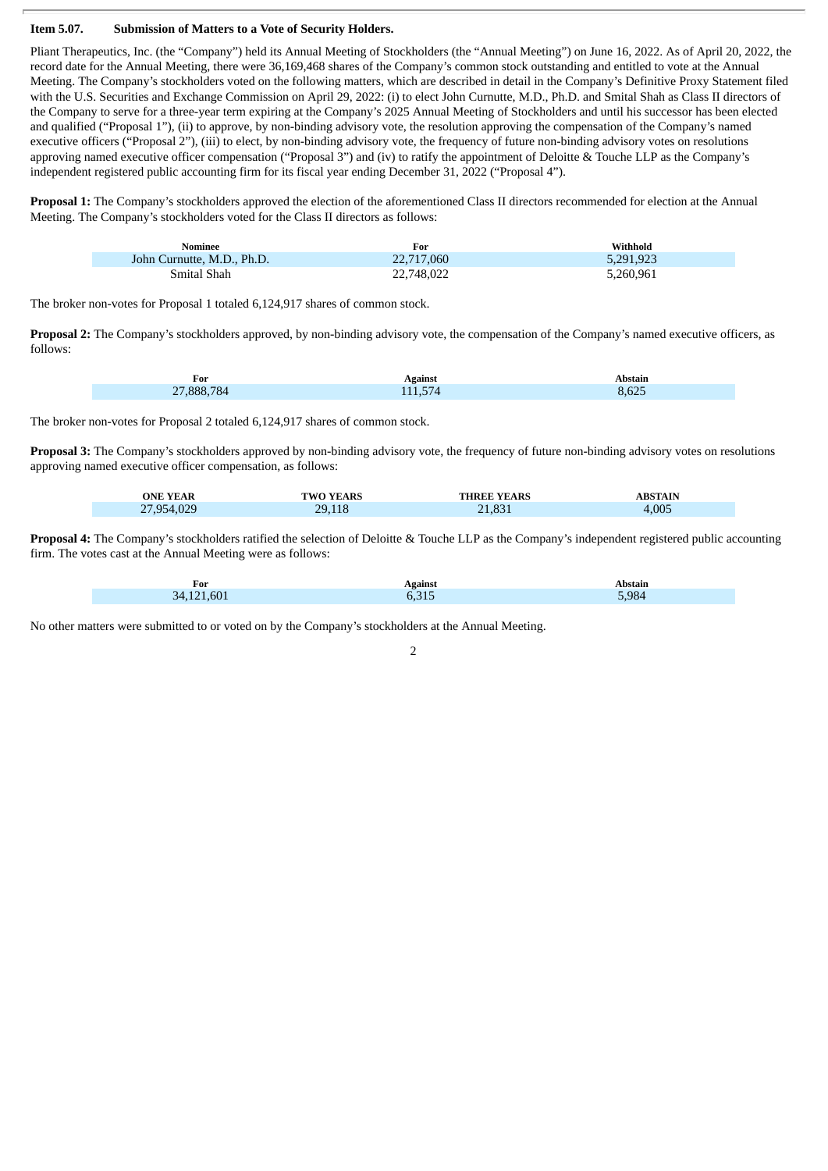#### **Item 5.07. Submission of Matters to a Vote of Security Holders.**

Pliant Therapeutics, Inc. (the "Company") held its Annual Meeting of Stockholders (the "Annual Meeting") on June 16, 2022. As of April 20, 2022, the record date for the Annual Meeting, there were 36,169,468 shares of the Company's common stock outstanding and entitled to vote at the Annual Meeting. The Company's stockholders voted on the following matters, which are described in detail in the Company's Definitive Proxy Statement filed with the U.S. Securities and Exchange Commission on April 29, 2022: (i) to elect John Curnutte, M.D., Ph.D. and Smital Shah as Class II directors of the Company to serve for a three-year term expiring at the Company's 2025 Annual Meeting of Stockholders and until his successor has been elected and qualified ("Proposal 1"), (ii) to approve, by non-binding advisory vote, the resolution approving the compensation of the Company's named executive officers ("Proposal 2"), (iii) to elect, by non-binding advisory vote, the frequency of future non-binding advisory votes on resolutions approving named executive officer compensation ("Proposal 3") and (iv) to ratify the appointment of Deloitte & Touche LLP as the Company's independent registered public accounting firm for its fiscal year ending December 31, 2022 ("Proposal 4").

**Proposal 1:** The Company's stockholders approved the election of the aforementioned Class II directors recommended for election at the Annual Meeting. The Company's stockholders voted for the Class II directors as follows:

| Nominee                    | For        | Withhold  |
|----------------------------|------------|-----------|
| John Curnutte, M.D., Ph.D. | 22,717,060 | 5,291,923 |
| Smital Shah                | 22,748,022 | 5,260,961 |

The broker non-votes for Proposal 1 totaled 6,124,917 shares of common stock.

**Proposal 2:** The Company's stockholders approved, by non-binding advisory vote, the compensation of the Company's named executive officers, as follows:

| For                                      | \gainst | bstain |
|------------------------------------------|---------|--------|
| 388.784<br>$\sim$ $\sim$<br>$\leftarrow$ | --      |        |

The broker non-votes for Proposal 2 totaled 6,124,917 shares of common stock.

**Proposal 3:** The Company's stockholders approved by non-binding advisory vote, the frequency of future non-binding advisory votes on resolutions approving named executive officer compensation, as follows:

| ONE YEAR         | <b>TWO YEARS</b> | <b>THREE YEARS</b> | <b>ABSTAIN</b> |
|------------------|------------------|--------------------|----------------|
| 4.029<br>27,954, | 29.118           | 21,831<br>71.      | 4,005          |

**Proposal 4:** The Company's stockholders ratified the selection of Deloitte & Touche LLP as the Company's independent registered public accounting firm. The votes cast at the Annual Meeting were as follows:

| For        | Against                                | Abstain |
|------------|----------------------------------------|---------|
| 34,121,601 | $\mathbf{r}$ and $\mathbf{r}$<br>0,315 | 5,984   |

No other matters were submitted to or voted on by the Company's stockholders at the Annual Meeting.